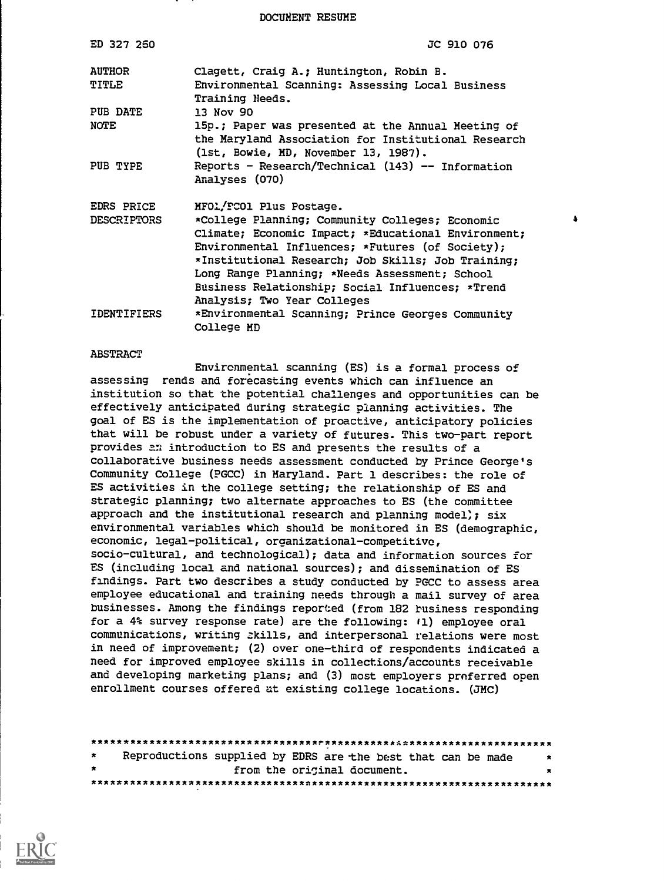DOCUMENT RESUME

| ED 327 260             | JC 910 076                                                                                                                                                                                                                                                                                                                                                         |
|------------------------|--------------------------------------------------------------------------------------------------------------------------------------------------------------------------------------------------------------------------------------------------------------------------------------------------------------------------------------------------------------------|
| <b>AUTHOR</b><br>TITLE | Clagett, Craig A.; Huntington, Robin B.<br>Environmental Scanning: Assessing Local Business<br>Training Needs.                                                                                                                                                                                                                                                     |
| PUB DATE               | 13 Nov 90                                                                                                                                                                                                                                                                                                                                                          |
| NOTE                   | 15p.; Paper was presented at the Annual Meeting of<br>the Maryland Association for Institutional Research<br>(1st, Bowie, MD, November 13, 1987).                                                                                                                                                                                                                  |
| PUB TYPE               | Reports - Research/Technical (143) -- Information<br>Analyses (070)                                                                                                                                                                                                                                                                                                |
| EDRS PRICE             | MFOL/PCOl Plus Postage.                                                                                                                                                                                                                                                                                                                                            |
| <b>DESCRIPTORS</b>     | $\bullet$<br>*College Planning; Community Colleges; Economic<br>Climate; Economic Impact; *Educational Environment;<br>Environmental Influences; *Futures (of Society);<br>*Institutional Research; Job Skills; Job Training;<br>Long Range Planning; *Needs Assessment; School<br>Business Relationship; Social Influences; *Trend<br>Analysis; Two Year Colleges |
| IDENTIFIERS            | *Environmental Scanning; Prince Georges Community<br>College MD                                                                                                                                                                                                                                                                                                    |

#### ABSTRACT

Environmental scanning (ES) is a formal process of assessing rends and forecasting events which can influence an institution so that the potential challenges and opportunities can be effectively anticipated during strategic planning activities. The goal of ES is the implementation of proactive, anticipatory policies that will be robust under a variety of futures. This two-part report provides an introduction to ES and presents the results of a collaborative business needs assessment conducted by Prince George's Community College (PGCC) in Maryland. Part 1 describes: the role of ES activities in the college setting; the relationship of ES and strategic planning; two alternate approaches to ES (the committee approach and the institutional research and planning model);  $six$ environmental variables which should be monitored in ES (demographic, economic, legal-political, organizational-competitive, socio-cultural, and technological); data and information sources for ES (including local and national sources); and dissemination of ES findings. Part two describes a study conducted by PGCC to assess area employee educational and training needs through a mail survey of area businesses. Among the findings reported (from 182 business responding for a 4% survey response rate) are the following: 11) employee oral communications, writing skills, and interpersonal relations were most in need of improvement; (2) over one-third of respondents indicated a need for improved employee skills in collections/accounts receivable and developing marketing plans; and (3) most employers preferred open enrollment courses offered at existing college locations. (JMC)

| $\star$ | Reproductions supplied by EDRS are the best that can be made | * |
|---------|--------------------------------------------------------------|---|
| $\star$ | from the original document.                                  |   |
|         |                                                              |   |

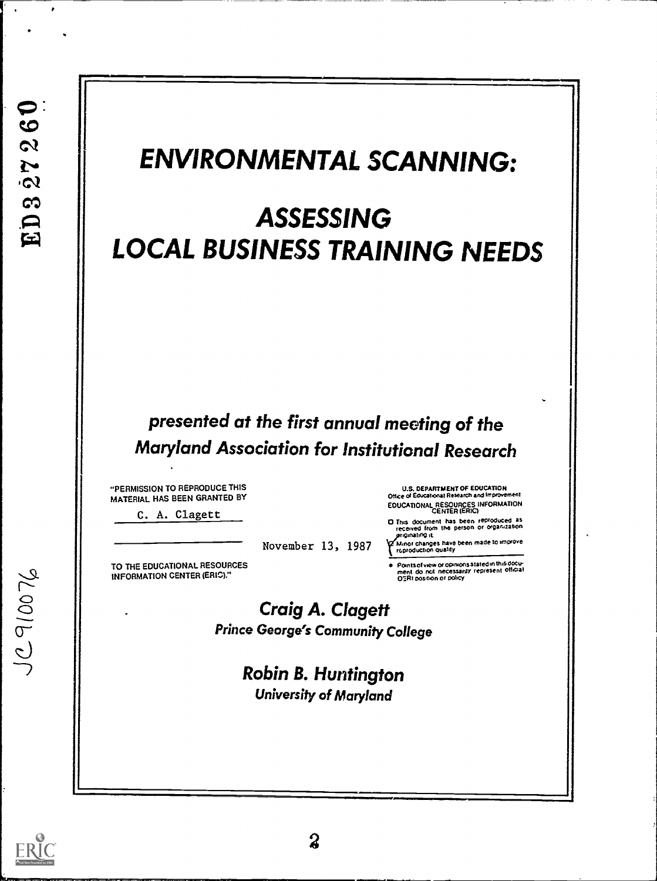$\bullet$  $\bullet$  $\overline{\mathbf{c}}$  $25$  $\mathbf{c}$  $E$ <sup>1</sup>

# ENVIRONMENTAL SCANNING:

# ASSESSING LOCAL BUSINESS TRAINING NEEDS

# presented at the first annual meeting of the Maryland Association for Institutional Research

-PERMISSION TO REPRODUCE THIS MATERIAL HAS BEEN GRANTED BY

C. A. Clagett

November 13, 1987

TO THE EDUCATIONAL RESOURCES INFORMATION CENTER (ERIC)."

U.S. DEPARTMENT OF EDUCATION Office of Educational Research and Improvement EDUCATIONAL RESOURCES INFORMATION CENTER (ERIC)

D This document has been reproduced as<br>received from the person or organization<br>griginating it

Y Minor changes have been made to improve<br>roproduction quality

Points of view or opinions stated in this docu-<br>ment ido, not inecessanty represent official<br>OIRI position or policy

Craig A. Clagett Prince George's Community College

> Robin B. Huntington University of Maryland

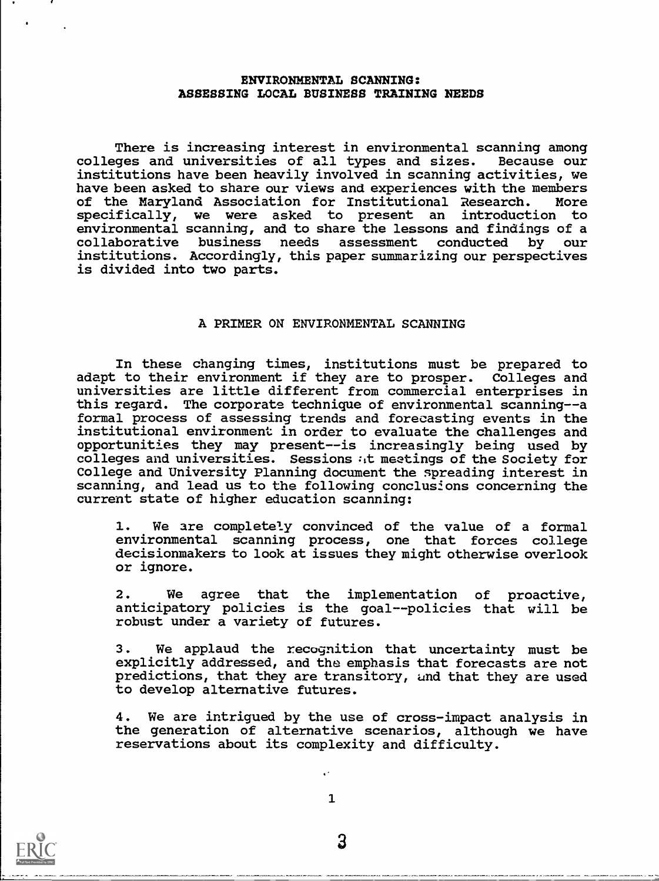#### ENVIRONMENTAL SCANNING: ASSESSING LOCAL BUSINESS TRAINING NEEDS

There is increasing interest in environmental scanning among colleges and universities of all types and sizes. Because our institutions have been heavily involved in scanning activities, we have been asked to share our views and experiences with the members of the Maryland Association for Institutional Research. More specifically, we were asked to present an introduction to environmental scanning, and to share the lessons and findings of a collaborative business needs assessment conducted by our institutions. Accordingly, this paper summarizing our perspectives is divided into two parts.

#### A PRIMER ON ENVIRONMENTAL SCANNING

In these changing times, institutions must be prepared to adapt to their environment if they are to prosper. Colleges and universities are little different from commercial enterprises in this regard. The corporate technique of environmental scanning--a formal process of assessing trends and forecasting events in the institutional environment in order to evaluate the challenges and opportunities they may present--is increasingly being used by colleges and universities. Sessions at meetings of the Society for College and University Planning document the spreading interest in scanning, and lead us to the following conclusions concerning the current state of higher education scanning:

1. We are completely convinced of the value of a formal environmental scanning process, one that forces college decisionmakers to look at issues they might otherwise overlook or ignore.

2. We agree that the implementation of proactive, anticipatory policies is the goal--policies that will be robust under a variety of futures.

3. We applaud the recognition that uncertainty must be explicitly addressed, and the emphasis that forecasts are not predictions, that they are transitory, und that they are used to develop alternative futures.

4. We are intrigued by the use of cross-impact analysis in the generation of alternative scenarios, although we have reservations about its complexity and difficulty.

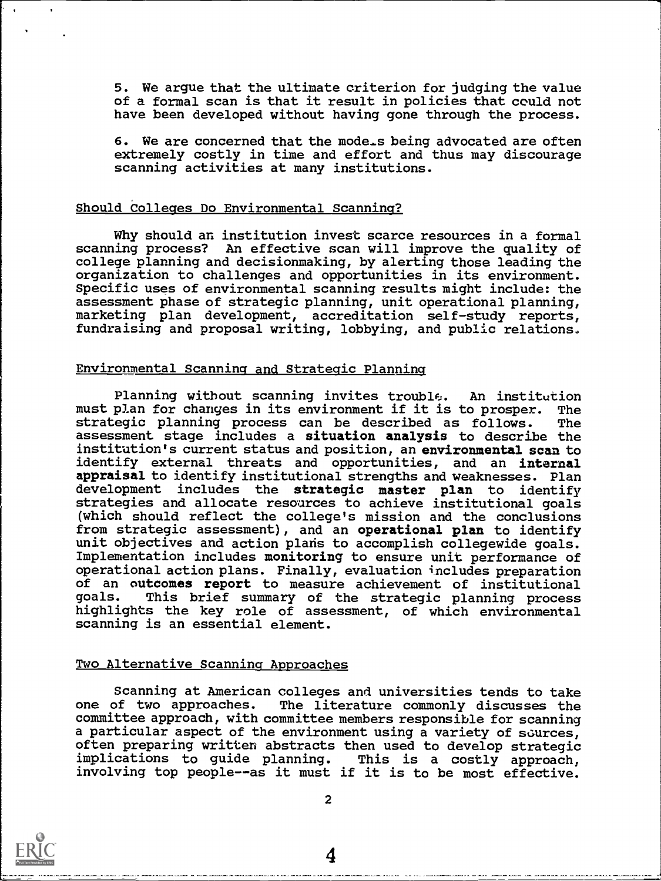5. We argue that the ultimate criterion for judging the value of a formal scan is that it result in policies that could not have been developed without having gone through the process.

6. We are concerned that the mode-s being advocated are often extremely costly in time and effort and thus may discourage scanning activities at many institutions.

#### Should Colleges Do Environmental Scanning?

Why should an institution invest scarce resources in a formal scanning process? An effective scan will improve the quality of college planning and decisionmaking, by alerting those leading the organization to challenges and opportunities in its environment. Specific uses of environmental scanning results might include: the assessment phase of strategic planning, unit operational planning, marketing plan development, accreditation self-study reports, fundraising and proposal writing, lobbying, and public relations.

# Environmental Scanning and Strategic Planning

Planning without scanning invites trouble. An institution must plan for changes in its environment if it is to prosper. The strategic planning process can be described as follows. assessment stage includes a situation analysis to describe the institution's current status and position, an environmental scan to identify external threats and opportunities, and an internal appraisal to identify institutional strengths and weaknesses. Plan development includes the strategic master plan to identify strategies and allocate resources to achieve institutional goals (which should reflect the college's mission and the conclusions from strategic assessment), and an operational plan to identify unit objectives and action plans to accomplish collegewide goals. Implementation includes monitoring to ensure unit performance of operational action plans. Finally, evaluation includes preparation of an outcomes report to measure achievement of institutional goals. This brief summary of the strategic planning process highlights the key role of assessment, of which environmental scanning is an essential element.

#### Two Alternative Scanning Approaches

Scanning at American colleges and universities tends to take one of two approaches. The literature commonly discusses the committee approach, with committee members responsible for scanning a particular aspect of the environment using a variety of sources, often preparing written abstracts then used to develop strategic<br>implications to guide planning. This is a costly approach, implications to guide planning. involving top people--as it must if it is to be most effective.



2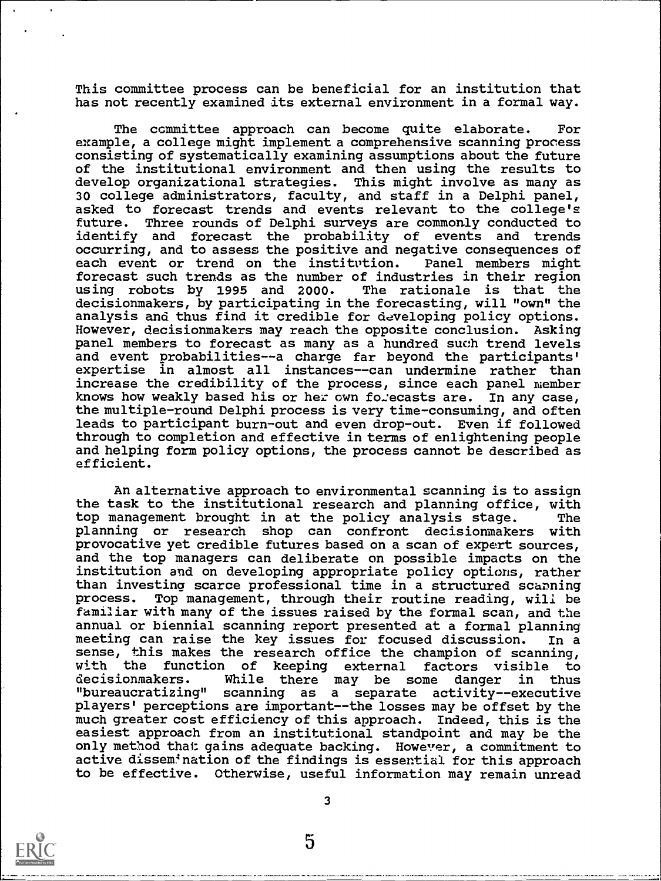This committee process can be beneficial for an institution that has not recently examined its external environment in a formal way.

The committee approach can become quite elaborate. For example, a college might implement a comprehensive scanning process consisting of systematically examining assumptions about the future of the institutional environment and then using the results to develop organizational strategies. This might involve as many as 30 college administrators, faculty, and staff in a Delphi panel, asked to forecast trends and events relevant to the college's future. Three rounds of Delphi surveys are commonly conducted to identify and forecast the probability of events and trends occurring, and to assess the positive and negative consequences of each event or trend on the institution. Panel members might each event or trend on the institution. forecast such trends as the number of industries in their region using robots by 1995 and 2000. decisionmakers, by participating in the forecasting, will "own" the analysis and thus find it credible for developing policy options. However, decisionmakers may reach the opposite conclusion. Asking panel members to forecast as many as a hundred such trend levels and event probabilities--a charge far beyond the participants' expertise in almost all instances--can undermine rather than increase the credibility of the process, since each panel member knows how weakly based his or her own forecasts are. In any case, the multiple-round Delphi process is very time-consuming, and often leads to participant burn-out and even drop-out. Even if followed through to completion and effective in terms of enlightening people and helping form policy options, the process cannot be described as efficient.

An alternative approach to environmental scanning is to assign the task to the institutional research and planning office, with top management brought in at the policy analysis stage. The planning or research shop can confront decisionmakers with provocative yet credible futures based on a scan of expert sources, and the top managers can deliberate on possible impacts on the institution and on developing appropriate policy options, rather than investing scarce professional time in a structured scanning process. Top management, through their routine reading, will be familiar with many of the issues raised by the formal scan, and the annual or biennial scanning report presented at a formal planning meeting can raise the key issues for focused discussion. In a sense, this makes the research office the champion of scanning, with the function of keeping external factors visible to<br>decisionmakers. While there may be some danger in thus While there may be some danger in thus "bureaucratizing" scanning as a separate activity--executive players' perceptions are important--the losses may be offset by the much greater cost efficiency of this approach. Indeed, this is the easiest approach from an institutional standpoint and may be the only method that gains adequate backing. However, a commitment to active dissemination of the findings is essential for this approach to be effective. Otherwise, useful information may remain unread



3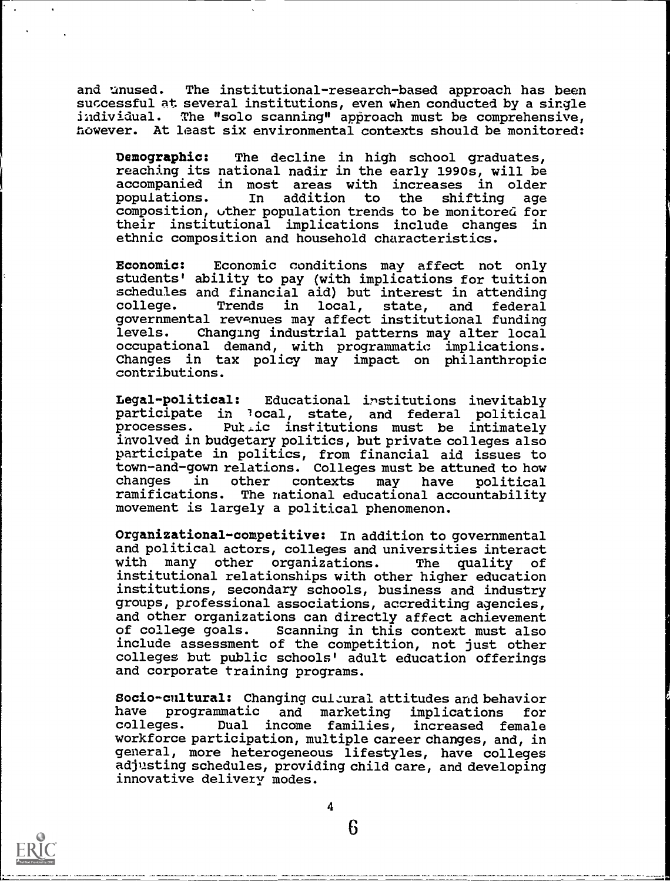and unused. The institutional-research-based approach has been successful at several institutions, even when conducted by a single individual. The "solo scanning" approach must be comprehensive, however. At least six environmental contexts should be monitored:

Demographic: The decline in high school graduates, reaching its national nadir in the early 1990s, will be accompanied in most areas with increases in older<br>populations. In addition to the shifting age the shifting age composition, uther population trends to be monitored for their institutional implications include changes in ethnic composition and household characteristics.

Economic: Economic conditions may affect not only students' ability to pay (with implications for tuition schedules and financial aid) but interest in attending in local, state, and federal governmental rewenues may affect institutional funding levels. Changing industrial patterns may alter local occupational demand, with programmatic implications. Changes in tax policy may impact on philanthropic contributions.

Legal-political: Educational institutions inevitably participate in local, state, and federal political<br>processes. Puttic institutions must be intimately Put<sub>ic</sub> institutions must be intimately involved in budgetary politics, but private colleges also participate in politics, from financial aid issues to town-and-gown relations. Colleges must be attuned to how changes in other contexts may have political The national educational accountability movement is largely a political phenomenon.

Organizational-competitive: In addition to governmental and political actors, colleges and universities interact with many other organizations. The quality of institutional relationships with other higher education institutions, secondary schools, business and industry groups, professional associations, accrediting agencies, and other organizations can directly affect achievement<br>of college goals. Scanning in this context must also Scanning in this context must also include assessment of the competition, not just other colleges but public schools' adult education offerings and corporate training programs.

Socio-cnitural: Changing culzural attitudes and behavior have programmatic and marketing implications for Dual income families, increased female workforce participation, multiple career changes, and, in general, more heterogeneous lifestyles, have colleges adjusting schedules, providing child care, and developing innovative delivery modes.



4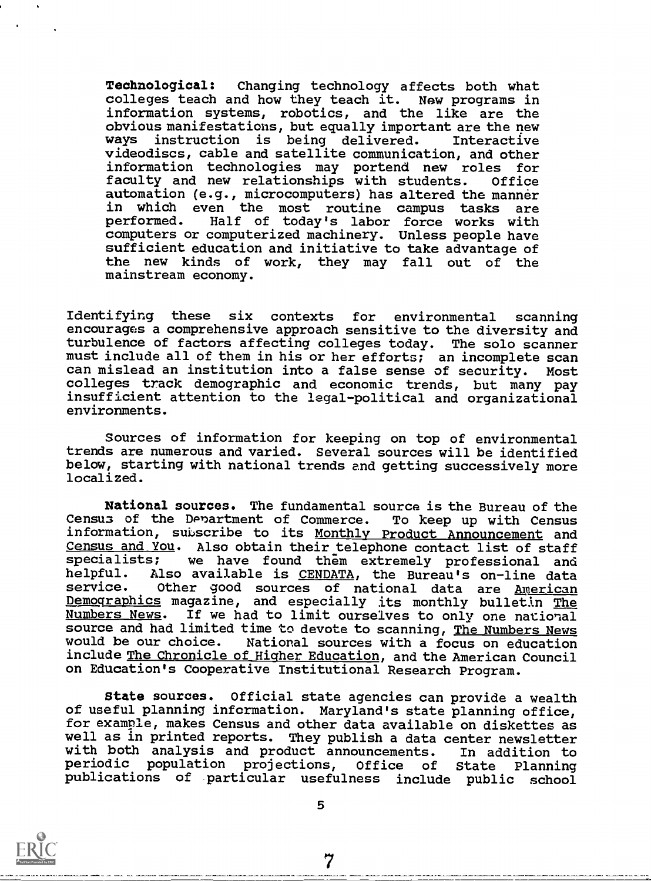Technological: Changing technology affects both what colleges teach and how they teach it. New programs in information systems, robotics, and the like are the obvious manifestations, but equally important are the new ways instruction is being delivered. Interactive videodiscs, cable and satellite communication, and other information technologies may portend new roles for faculty and new relationships with students. Office automation (e.g., microcomputers) has altered the manner in which even the most routine campus tasks are performed. Half of today's labor force works with computers or computerized machinery. Unless people have sufficient education and initiative to take advantage of the new kinds of work, they may fall out of the mainstream economy.

Identifying these six contexts for environmental scanning encourages a comprehensive approach sensitive to the diversity and turbulence of factors affecting colleges today. The solo scanner must include all of them in his or her efforts; an incomplete scan can mislead an institution into a false sense of security. Most colleges track demographic and economic trends, but many pay insufficient attention to the legal-political and organizational environments.

Sources of information for keeping on top of environmental trends are numerous and varied. Several sources will be identified below, starting with national trends and getting successively more localized.

National sources. The fundamental source is the Bureau of the Census of the Denartment of Commerce. To keep up with Census information, subscribe to its Monthly Product Announcement and Census and You. Also obtain their telephone contact list of staff specialists; we have found them extremely professional and helpful. Also available is CENDATA, the Bureau's on-line data<br>service. Other good sources of national data are American Other good sources of national data are American Demographics magazine, and especially its monthly bulletin The Numbers News. If we had to limit ourselves to only one national source and had limited time to devote to scanning, The Numbers News would be our choice. National sources with a focus on education include The Chronicle of Higher Education, and the American Council on Education's Cooperative Institutional Research Program.

State sources. Official state agencies can provide a wealth of useful planning information. Maryland's state planning office, for example, makes Census and other data available on diskettes as well as in printed reports. They publish a data center newsletter<br>with both analysis and product announcements. In addition to with both analysis and product announcements. In addition to<br>periodic population projections, Office of State Planning publications of particular usefulness include public school

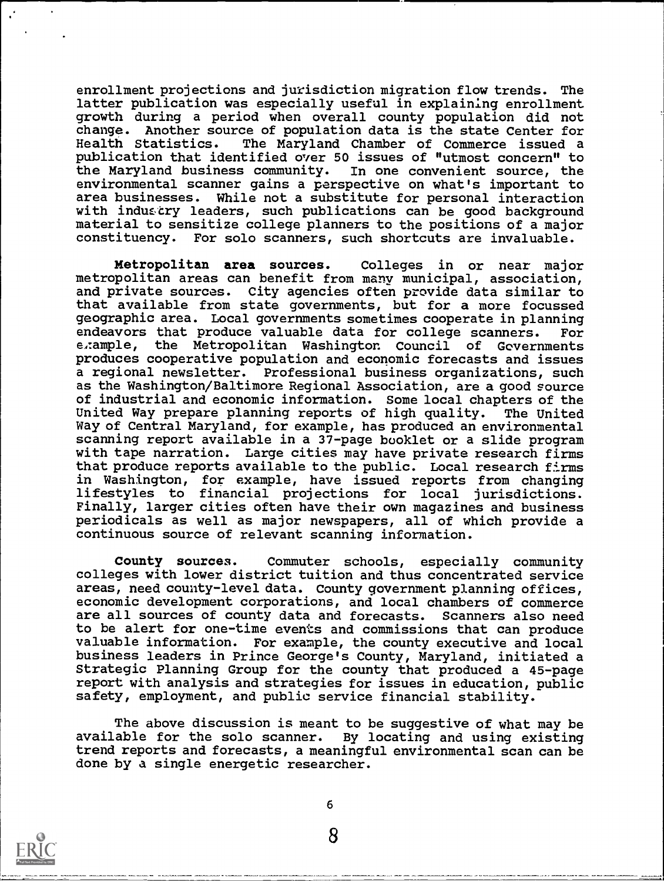enrollment projections and jurisdiction migration flow trends. The latter publication was especially useful in explaining enrollment growth during a period when overall county population did not change. Another source of population data is the state Center for Health Statistics. The Maryland Chamber of Commerce issued a publication that identified over 50 issues of "utmost concern" to the Maryland business community. In one convenient source, the environmental scanner gains a perspective on what's important to area businesses. While not a substitute for personal interaction with industry leaders, such publications can be good background material to sensitize college planners to the positions of a major constituency. For solo scanners, such shortcuts are invaluable.

Metropolitan area sources. Colleges in or near major metropolitan areas can benefit from many municipal, association, and private sources. City agencies often provide data similar to that available from state governments, but for a more focussed geographic area. Local governments sometimes cooperate in planning endeavors that produce valuable data for college scanners. For e,:ample, the Metropolitan Washington Council of Governments produces cooperative population and economic forecasts and issues a regional newsletter. Professional business organizations, such as the Washington/Baltimore Regional Association, are a good source of industrial and economic information. Some local chapters of the United Way prepare planning reports of high quality. The United Way of Central Maryland, for example, has produced an environmental scanning report available in a 37-page booklet or a slide program with tape narration. Large cities may have private research firms that produce reports available to the public. Local research firms in Washington, for example, have issued reports from changing lifestyles to financial projections for local jurisdictions. Finally, larger cities often have their own magazines and business periodicals as well as major newspapers, all of which provide a continuous source of relevant scanning information.

County sources. Commuter schools, especially community colleges with lower district tuition and thus concentrated service areas, need county-level data. County government planning offices, economic development corporations, and local chambers of commerce are all sources of county data and forecasts. Scanners also need to be alert for one-time events and commissions that can produce valuable information. For example, the county executive and local business leaders in Prince George's County, Maryland, initiated a Strategic Planning Group for the county that produced a 45-page report with analysis and strategies for issues in education, public safety, employment, and public service financial stability.

The above discussion is meant to be suggestive of what may be available for the solo scanner. By locating and using existing trend reports and forecasts, a meaningful environmental scan can be done by a single energetic researcher.



6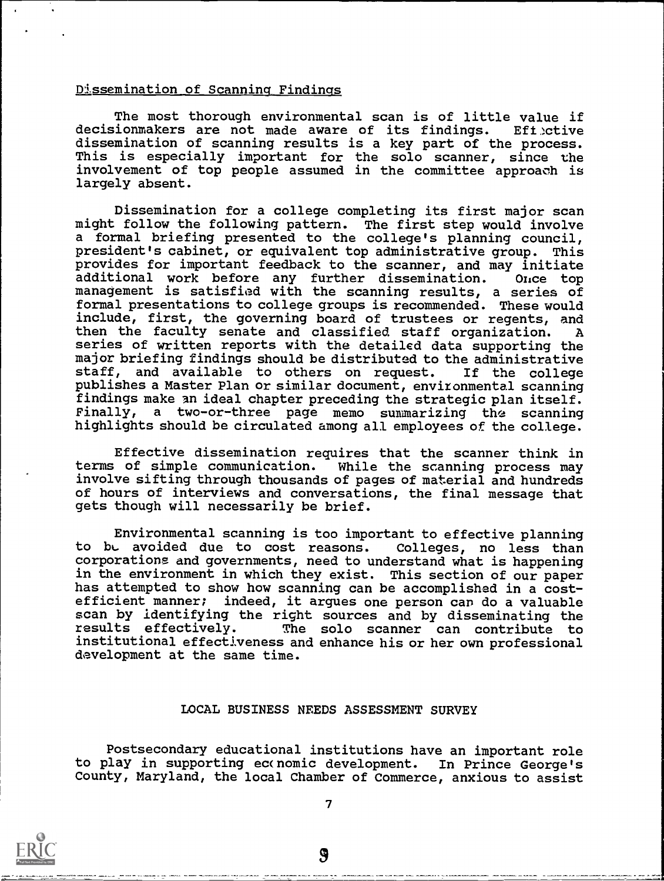#### Dissemination of Scanning Findings

The most thorough environmental scan is of little value if<br>ionmakers are not made aware of its findings. Effective decisionmakers are not made aware of its findings. dissemination of scanning results is a key part of the process. This is especially important for the solo scanner, since the involvement of top people assumed in the committee approach is largely absent.

Dissemination for a college completing its first major scan might follow the following pattern. The first step would involve a formal briefing presented to the college's planning council, president's cabinet, or equivalent top administrative group. This provides for important feedback to the scanner, and may initiate additional work before any further dissemination. Once top management is satisfied with the scanning results, a series of formal presentations to college groups is recommended. These would include, first, the governing board of trustees or regents, and then the faculty senate and classified staff organization. A series of written reports with the detailed data supporting the major briefing findings should be distributed to the administrative staff, and available to others on request. If the college publishes a Master Plan or similar document, environmental scanning findings make an ideal chapter preceding the strategic plan itself. Finally, a two-or-three page memo summarizing the scanning highlights should be circulated among all employees of the college.

Effective dissemination requires that the scanner think in terms of simple communication. While the scanning process may involve sifting through thousands of pages of material and hundreds of hours of interviews and conversations, the final message that gets though will necessarily be brief.

Environmental scanning is too important to effective planning to bL avoided due to cost reasons. Colleges, no less than corporations and governments, need to understand what is happening in the environment in which they exist. This section of our paper has attempted to show how scanning can be accomplished in a costefficient manner; indeed, it argues one person can do a valuable scan by identifying the right sources and by disseminating the<br>results effectively. The solo scanner can contribute to The solo scanner can contribute to institutional effectiveness and enhance his or her own professional development at the same time.

#### LOCAL BUSINESS NEEDS ASSESSMENT SURVEY

Postsecondary educational institutions have an important role to play in supporting ec(nomic development. In Prince George's County, Maryland, the local Chamber of Commerce, anxious to assist

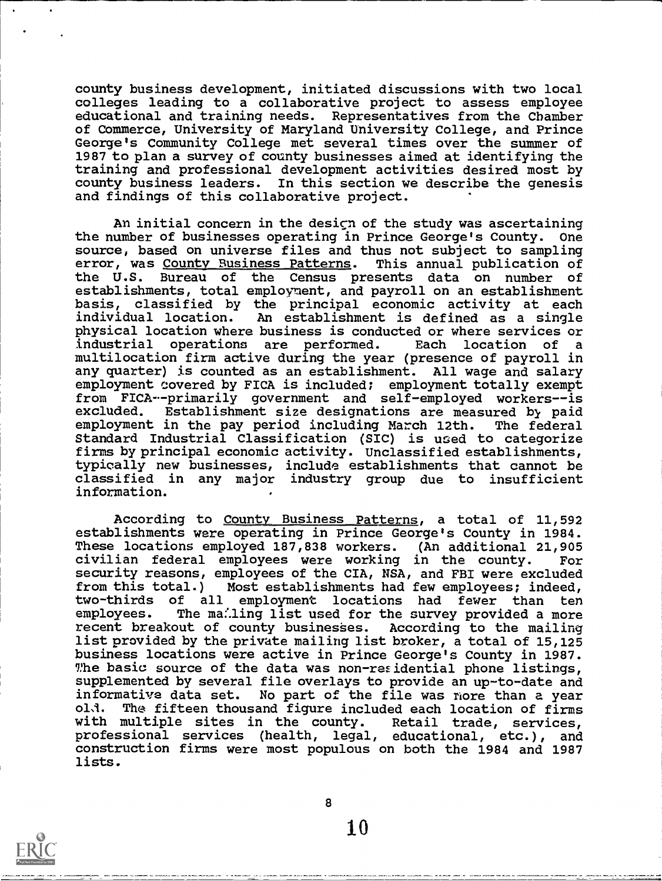county business development, initiated discussions with two local colleges leading to a collaborative project to assess employee educational and training needs. Representatives from the Chamber of Commerce, University of Maryland University College, and Prince George's Community College met several times over the summer of 1987 to plan a survey of county businesses aimed at identifying the training and professional development activities desired most by county business leaders. In this section we describe the genesis and findings of this collaborative project.

An initial concern in the desicn of the study was ascertaining the number of businesses operating in Prince George's County. One source, based on universe files and thus not subject to sampling error, was County Business Patterns. This annual publication of the U.S. Bureau of the Census presents data on number of establishments, total employment, and payroll on an establishment basis, classified by the principal economic activity at each individual location. An establishment is defined as a single physical location where business is conducted or where services or industrial operations are performed. Each location of a multilocation firm active during the year (presence of payroll in any quarter) is counted as an establishment. All wage and salary employment covered by FICA is included; employment totally exempt from FICA--primarily government and self-employed workers--is Establishment size designations are measured by paid employment in the pay period including March 12th. The federal Standard Industrial Classification (SIC) is used to categorize firms by principal economic activity. Unclassified establishments, typically new businesses, include establishments that cannot be classified in any major industry group due to insufficient information.

According to County Business Patterns, a total of 11,592 establishments were operating in Prince George's County in 1984. These locations employed 187,838 workers. (An additional 21,905 civilian federal employees were working in the county. For security reasons, employees of the CIA, NSA, and FBI were excluded from this total.) Most establishments had few employees; indeed, two-thirds of all employment locations had fewer than ten employees. The mailing list used for the survey provided a more recent breakout of county businesses. According to the mailing list provided by the private mailing list broker, a total of 15,125 business locations were active in Prince George's County in 1987. The basic source of the data was non-residential phone listings, supplemented by several file overlays to provide an up-to-date and informative data set. No part of the file was nore than a year The fifteen thousand figure included each location of firms<br>multiple sites in the county. Retail trade, services, with multiple sites in the county. professional services (health, legal, educational, etc.), and construction firms were most populous on both the 1984 and 1987 lists.



8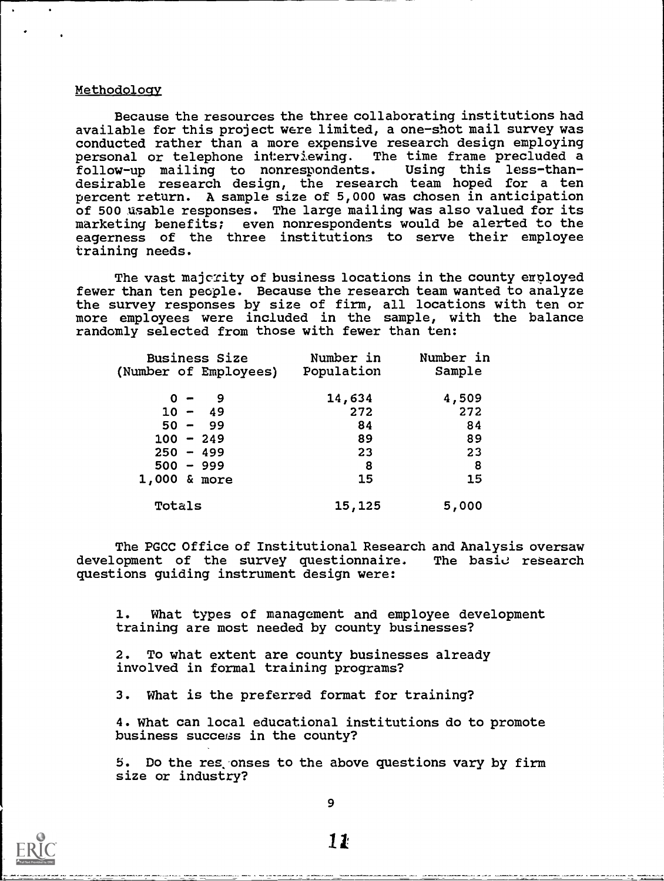### Methodology

Because the resources the three collaborating institutions had available for this project were limited, a one-shot mail survey was conducted rather than a more expensive research design employing personal or telephone interviewing. The time frame precluded a follow-up mailing to nonrespondents. Using this less-thandesirable research design, the research team hoped for a ten percent return. A sample size of 5,000 was chosen in anticipation of 500 usable responses. The large mailing was also valued for its marketing benefits; even nonrespondents would be alerted to the eagerness of the three institutions to serve their employee training needs.

The vast majcrity of business locations in the county erployed fewer than ten people. Because the research team wanted to analyze the survey responses by size of firm, all locations with ten or more employees were included in the sample, with the balance randomly selected from those with fewer than ten:

| <b>Business Size</b><br>(Number of Employees) | Number in<br>Population | Number in<br>Sample |  |
|-----------------------------------------------|-------------------------|---------------------|--|
|                                               |                         |                     |  |
| $0 -$                                         | 14,634                  | 4,509               |  |
| $10 - 49$                                     | 272                     | 272                 |  |
| $50 - 99$                                     | 84                      | 84                  |  |
| $100 - 249$                                   | 89                      | 89                  |  |
| $250 - 499$                                   | 23                      | 23                  |  |
| $500 - 999$                                   | 8                       | 8                   |  |
| $1,000$ & more                                | 15                      | 15                  |  |
| Totals                                        | 15,125                  | 5,000               |  |

The PGCC Office of Institutional Research and Analysis oversaw development of the survey questionnaire. The basic research questions guiding instrument design were:

1. What types of management and employee development training are most needed by county businesses?

2. To what extent are county businesses already involved in formal training programs?

3. What is the preferred format for training?

4. What can local educational institutions do to promote business success in the county?

5. Do the res onses to the above questions vary by firm size or industry?



IL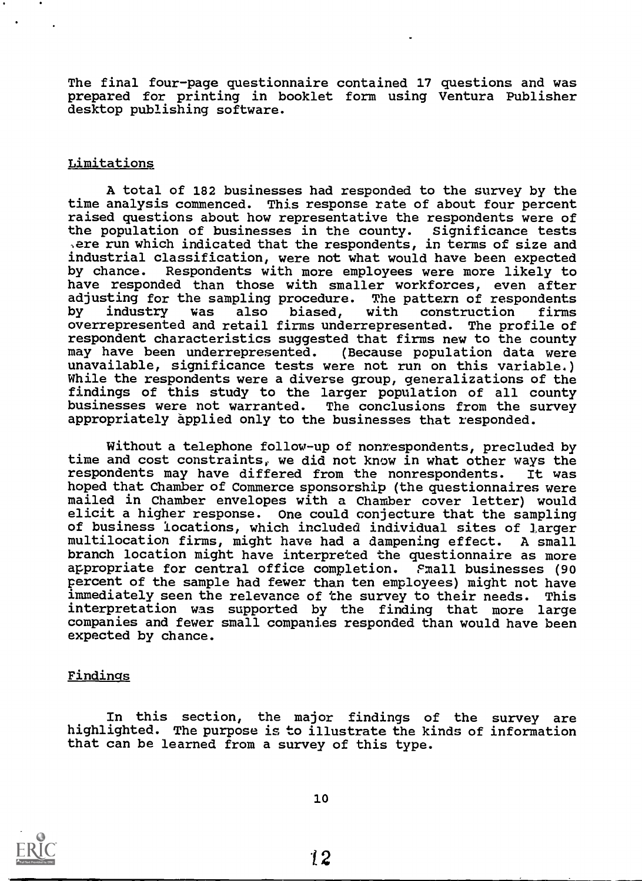The final four-page questionnaire contained 17 questions and was prepared for printing in booklet form using Ventura Publisher desktop publishing software.

## Limitations

A total of 182 businesses had responded to the survey by the time analysis commenced. This response rate of about four percent raised questions about how representative the respondents were of the population of businesses in the county. Significance tests ,ere run which indicated that the respondents, in terms of size and industrial classification, were not what would have been expected Respondents with more employees were more likely to have responded than those with smaller workforces, even after adjusting for the sampling procedure. The pattern of respondents<br>by industry was also biased, with construction firms also biased, overrepresented and retail firms underrepresented. The profile of respondent characteristics suggested that firms new to the county may have been underrepresented. (Because population data were unavailable, significance tests were not run on this variable.) While the respondents were a diverse group, generalizations of the findings of this study to the larger population of all county businesses were not warranted. The conclusions from the survey appropriately applied only to the businesses that responded.

Without a telephone follow-up of nonrespondents, precluded by time and cost constraints, we did not know in what other ways the respondents may have differed from the nonrespondents. It was hoped that Chamber of Commerce sponsorship (the questionnaires were mailed in Chamber envelopes with a Chamber cover letter) would elicit a higher response. One could conjecture that the sampling of business locations, which included individual sites of larger multilocation firms, might have had a dampening effect. A small branch location might have interpreted the questionnaire as more appropriate for central office completion. Pmall businesses (90 percent of the sample had fewer than ten employees) might not have immediately seen the relevance of the survey to their needs. This interpretation was supported by the finding that more large companies and fewer small companies responded than would have been expected by chance.

#### Findings

In this section, the major findings of the survey are highlighted. The purpose is to illustrate the kinds of information that can be learned from a survey of this type.



10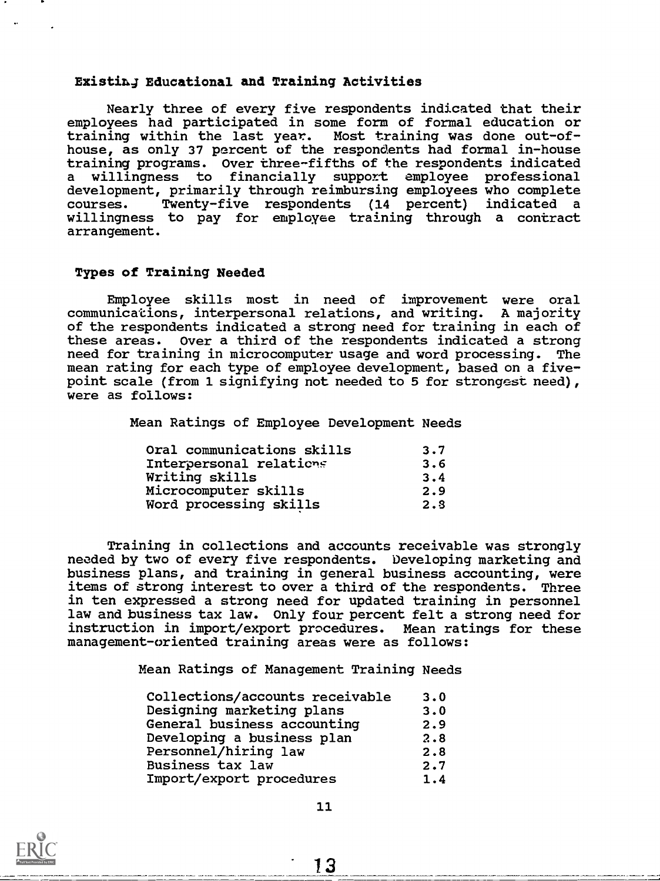# Existin4 Educational and Training Activities

Nearly three of every five respondents indicated that their employees had participated in some form of formal education or training within the last year. Most training was done out-ofhouse, as only 37 percent of the respondents had formal in-house training programs. Over three-fifths of the respondents indicated a willingness to financially support employee professional development, primarily through reimbursing employees who complete courses. Twenty-five respondents (14 percent) indicated a courses. Twenty-five respondents (14 percent) indicated <sup>a</sup> willingness to pay for employee training through a contract arrangement.

## Types of Training Needed

Employee skills most in need of improvement were oral communications, interpersonal relations, and writing. A majority of the respondents indicated a strong need for training in each of these areas. Over a third of the respondents indicated a strong need for training in microcomputer usage and word processing. The mean rating for each type of employee development, based on a fivepoint scale (from 1 signifying not needed to 5 for strongest need), were as follows:

Mean Ratings of Employee Development Needs

| Oral communications skills | 3.7 |
|----------------------------|-----|
| Interpersonal relations    | 3.6 |
| Writing skills             | 3.4 |
| Microcomputer skills       | 2.9 |
| Word processing skills     | 2.8 |

Training in collections and accounts receivable was strongly needed by two of every five respondents. Developing marketing and business plans, and training in general business accounting, were items of strong interest to over a third of the respondents. Three in ten expressed a strong need for updated training in personnel law and business tax law. Only four percent felt a strong need for instruction in import/export procedures. Mean ratings for these management-oriented training areas were as follows:

Mean Ratings of Management Training Needs

| Collections/accounts receivable | 3.0 |  |
|---------------------------------|-----|--|
| Designing marketing plans       | 3.0 |  |
| General business accounting     | 2.9 |  |
| Developing a business plan      | 2.8 |  |
| Personnel/hiring law            | 2.8 |  |
| <b>Business tax law</b>         | 2.7 |  |
| Import/export procedures        | 1.4 |  |

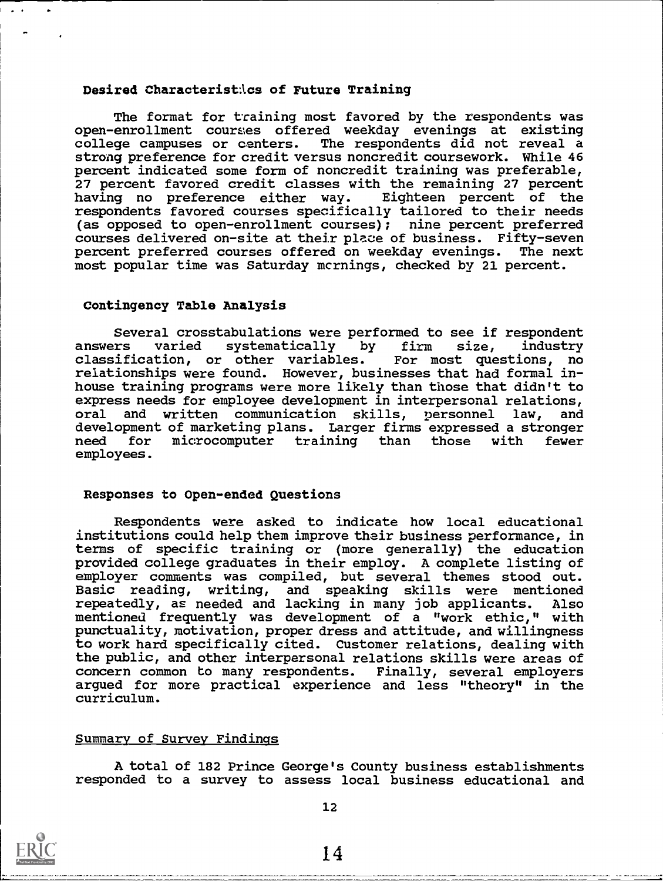#### Desired Characterist: \cs of Future Training

The format for training most favored by the respondents was open-enrollment courses offered weekday evenings at existing<br>college campuses or centers. The respondents did not reveal a The respondents did not reveal a strong preference for credit versus noncredit coursework. While 46 percent indicated some form of noncredit training was preferable, 27 percent favored credit classes with the remaining 27 percent having no preference either way. Eighteen percent of the respondents favored courses specifically tailored to their needs (as opposed to open-enrollment courses); nine percent preferred courses delivered on-site at their place of business. Fifty-seven percent preferred courses offered on weekday evenings. The next most popular time was Saturday mcrnings, checked by 21 percent.

#### Contingency Table Analysis

Several crosstabulations were performed to see if respondent answers varied systematically by firm size, industry classification, or other variables. For most questions, no relationships were found. However, businesses that had formal inhouse training programs were more likely than those that didn't to express needs for employee development in interpersonal relations, oral and written communication skills, personnel law, and development of marketing plans. Larger firms expressed a stronger need for microcomputer training than those with fewer employees.

#### Responses to Open-ended Questions

Respondents were asked to indicate how local educational institutions could help them improve their business performance, in terms of specific training or (more generally) the education provided college graduates in their employ. A complete listing of employer comments was compiled, but several themes stood out. Basic reading, writing, and speaking skills were mentioned repeatedly, as needed and lacking in many job applicants. Also mentioned frequently was development of a "work ethic," with punctuality, motivation, proper dress and attitude, and willingness to work hard specifically cited. Customer relations, dealing with the public, and other interpersonal relations skills were areas of concern common to many respondents. Finally, several employers argued for more practical experience and less "theory" in the curriculum.

### Summary of Survey Findings

A, total of 182 Prince George's County business establishments responded to a survey to assess local business educational and